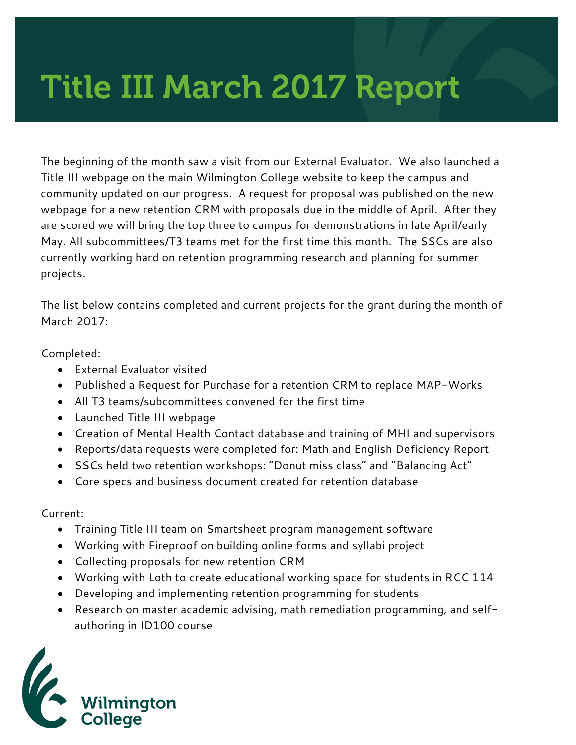## Title III March 2017 Report

The beginning of the month saw a visit from our External Evaluator. We also launched a Title III webpage on the main Wilmington College website to keep the campus and community updated on our progress. A request for proposal was published on the new webpage for a new retention CRM with proposals due in the middle of April. After they are scored we will bring the top three to campus for demonstrations in late April/early May. All subcommittees/T3 teams met for the first time this month. The SSCs are also currently working hard on retention programming research and planning for summer projects.

The list below contains completed and current projects for the grant during the month of March 2017:

Completed:

- External Evaluator visited
- Published a Request for Purchase for a retention CRM to replace MAP-Works
- All T3 teams/subcommittees convened for the first time
- Launched Title III webpage
- Creation of Mental Health Contact database and training of MHI and supervisors
- Reports/data requests were completed for: Math and English Deficiency Report
- SSCs held two retention workshops: "Donut miss class" and "Balancing Act"
- Core specs and business document created for retention database

Current:

- Training Title III team on Smartsheet program management software
- Working with Fireproof on building online forms and syllabi project
- Collecting proposals for new retention CRM
- Working with Loth to create educational working space for students in RCC 114
- Developing and implementing retention programming for students
- Research on master academic advising, math remediation programming, and selfauthoring in ID100 course